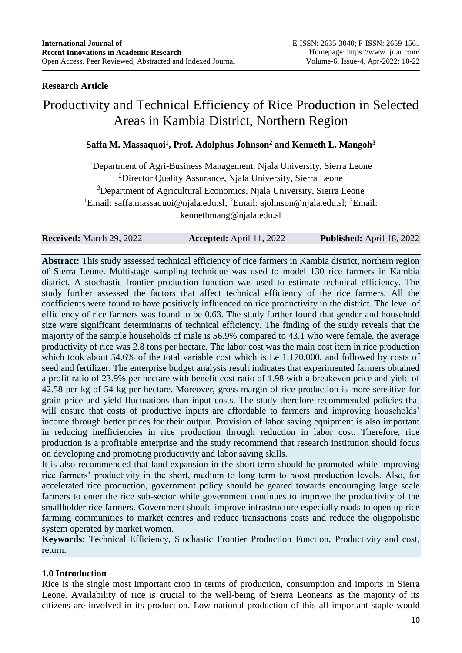## **Research Article**

# Productivity and Technical Efficiency of Rice Production in Selected Areas in Kambia District, Northern Region

# **Saffa M. Massaquoi<sup>1</sup> , Prof. Adolphus Johnson<sup>2</sup> and Kenneth L. Mangoh<sup>3</sup>**

<sup>1</sup>Department of Agri-Business Management, Njala University, Sierra Leone <sup>2</sup>Director Quality Assurance, Njala University, Sierra Leone <sup>3</sup>Department of Agricultural Economics, Njala University, Sierra Leone <sup>1</sup>Email: [saffa.massaquoi@njala.edu.sl;](mailto:saffa.massaquoi@njala.edu.sl) <sup>2</sup>Email: ajohnson@njala.edu.sl; <sup>3</sup>Email: [kennethmang@njala.edu.sl](mailto:kennethmang@njala.edu.sl)

**Received:** March 29, 2022 **Accepted:** April 11, 2022 **Published:** April 18, 2022

**Abstract:** This study assessed technical efficiency of rice farmers in Kambia district, northern region of Sierra Leone. Multistage sampling technique was used to model 130 rice farmers in Kambia district. A stochastic frontier production function was used to estimate technical efficiency. The study further assessed the factors that affect technical efficiency of the rice farmers. All the coefficients were found to have positively influenced on rice productivity in the district. The level of efficiency of rice farmers was found to be 0.63. The study further found that gender and household size were significant determinants of technical efficiency. The finding of the study reveals that the majority of the sample households of male is 56.9% compared to 43.1 who were female, the average productivity of rice was 2.8 tons per hectare. The labor cost was the main cost item in rice production which took about 54.6% of the total variable cost which is Le 1,170,000, and followed by costs of seed and fertilizer. The enterprise budget analysis result indicates that experimented farmers obtained a profit ratio of 23.9% per hectare with benefit cost ratio of 1.98 with a breakeven price and yield of 42.58 per kg of 54 kg per hectare. Moreover, gross margin of rice production is more sensitive for grain price and yield fluctuations than input costs. The study therefore recommended policies that will ensure that costs of productive inputs are affordable to farmers and improving households' income through better prices for their output. Provision of labor saving equipment is also important in reducing inefficiencies in rice production through reduction in labor cost. Therefore, rice production is a profitable enterprise and the study recommend that research institution should focus on developing and promoting productivity and labor saving skills.

It is also recommended that land expansion in the short term should be promoted while improving rice farmers' productivity in the short, medium to long term to boost production levels. Also, for accelerated rice production, government policy should be geared towards encouraging large scale farmers to enter the rice sub-sector while government continues to improve the productivity of the smallholder rice farmers. Government should improve infrastructure especially roads to open up rice farming communities to market centres and reduce transactions costs and reduce the oligopolistic system operated by market women.

**Keywords:** Technical Efficiency, Stochastic Frontier Production Function, Productivity and cost, return.

### **1.0 Introduction**

Rice is the single most important crop in terms of production, consumption and imports in Sierra Leone. Availability of rice is crucial to the well-being of Sierra Leoneans as the majority of its citizens are involved in its production. Low national production of this all-important staple would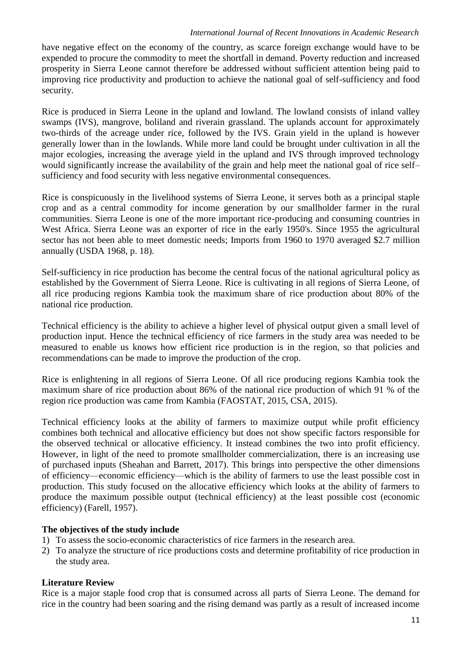#### *International Journal of Recent Innovations in Academic Research*

have negative effect on the economy of the country, as scarce foreign exchange would have to be expended to procure the commodity to meet the shortfall in demand. Poverty reduction and increased prosperity in Sierra Leone cannot therefore be addressed without sufficient attention being paid to improving rice productivity and production to achieve the national goal of self-sufficiency and food security.

Rice is produced in Sierra Leone in the upland and lowland. The lowland consists of inland valley swamps (IVS), mangrove, boliland and riverain grassland. The uplands account for approximately two-thirds of the acreage under rice, followed by the IVS. Grain yield in the upland is however generally lower than in the lowlands. While more land could be brought under cultivation in all the major ecologies, increasing the average yield in the upland and IVS through improved technology would significantly increase the availability of the grain and help meet the national goal of rice self– sufficiency and food security with less negative environmental consequences.

Rice is conspicuously in the livelihood systems of Sierra Leone, it serves both as a principal staple crop and as a central commodity for income generation by our smallholder farmer in the rural communities. Sierra Leone is one of the more important rice-producing and consuming countries in West Africa. Sierra Leone was an exporter of rice in the early 1950's. Since 1955 the agricultural sector has not been able to meet domestic needs; Imports from 1960 to 1970 averaged \$2.7 million annually (USDA 1968, p. 18).

Self-sufficiency in rice production has become the central focus of the national agricultural policy as established by the Government of Sierra Leone. Rice is cultivating in all regions of Sierra Leone, of all rice producing regions Kambia took the maximum share of rice production about 80% of the national rice production.

Technical efficiency is the ability to achieve a higher level of physical output given a small level of production input. Hence the technical efficiency of rice farmers in the study area was needed to be measured to enable us knows how efficient rice production is in the region, so that policies and recommendations can be made to improve the production of the crop.

Rice is enlightening in all regions of Sierra Leone. Of all rice producing regions Kambia took the maximum share of rice production about 86% of the national rice production of which 91 % of the region rice production was came from Kambia (FAOSTAT, 2015, CSA, 2015).

Technical efficiency looks at the ability of farmers to maximize output while profit efficiency combines both technical and allocative efficiency but does not show specific factors responsible for the observed technical or allocative efficiency. It instead combines the two into profit efficiency. However, in light of the need to promote smallholder commercialization, there is an increasing use of purchased inputs (Sheahan and Barrett, 2017). This brings into perspective the other dimensions of efficiency—economic efficiency—which is the ability of farmers to use the least possible cost in production. This study focused on the allocative efficiency which looks at the ability of farmers to produce the maximum possible output (technical efficiency) at the least possible cost (economic efficiency) (Farell, 1957).

#### **The objectives of the study include**

- 1) To assess the socio-economic characteristics of rice farmers in the research area.
- 2) To analyze the structure of rice productions costs and determine profitability of rice production in the study area.

#### **Literature Review**

Rice is a major staple food crop that is consumed across all parts of Sierra Leone. The demand for rice in the country had been soaring and the rising demand was partly as a result of increased income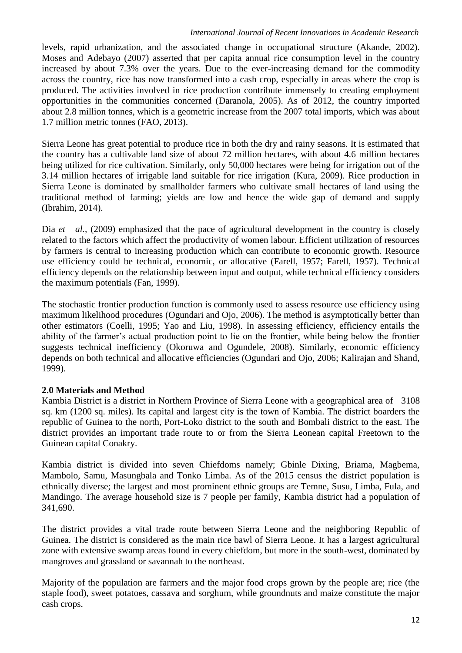#### *International Journal of Recent Innovations in Academic Research*

levels, rapid urbanization, and the associated change in occupational structure (Akande, 2002). Moses and Adebayo (2007) asserted that per capita annual rice consumption level in the country increased by about 7.3% over the years. Due to the ever-increasing demand for the commodity across the country, rice has now transformed into a cash crop, especially in areas where the crop is produced. The activities involved in rice production contribute immensely to creating employment opportunities in the communities concerned (Daranola, 2005). As of 2012, the country imported about 2.8 million tonnes, which is a geometric increase from the 2007 total imports, which was about 1.7 million metric tonnes (FAO, 2013).

Sierra Leone has great potential to produce rice in both the dry and rainy seasons. It is estimated that the country has a cultivable land size of about 72 million hectares, with about 4.6 million hectares being utilized for rice cultivation. Similarly, only 50,000 hectares were being for irrigation out of the 3.14 million hectares of irrigable land suitable for rice irrigation (Kura, 2009). Rice production in Sierra Leone is dominated by smallholder farmers who cultivate small hectares of land using the traditional method of farming; yields are low and hence the wide gap of demand and supply (Ibrahim, 2014).

Dia *et al.*, (2009) emphasized that the pace of agricultural development in the country is closely related to the factors which affect the productivity of women labour. Efficient utilization of resources by farmers is central to increasing production which can contribute to economic growth. Resource use efficiency could be technical, economic, or allocative (Farell, 1957; Farell, 1957). Technical efficiency depends on the relationship between input and output, while technical efficiency considers the maximum potentials (Fan, 1999).

The stochastic frontier production function is commonly used to assess resource use efficiency using maximum likelihood procedures (Ogundari and Ojo, 2006). The method is asymptotically better than other estimators (Coelli, 1995; Yao and Liu, 1998). In assessing efficiency, efficiency entails the ability of the farmer's actual production point to lie on the frontier, while being below the frontier suggests technical inefficiency (Okoruwa and Ogundele, 2008). Similarly, economic efficiency depends on both technical and allocative efficiencies (Ogundari and Ojo, 2006; Kalirajan and Shand, 1999).

#### **2.0 Materials and Method**

Kambia District is a district in Northern Province of Sierra Leone with a geographical area of 3108 sq. km (1200 sq. miles). Its capital and largest city is the town of Kambia. The district boarders the republic of Guinea to the north, Port-Loko district to the south and Bombali district to the east. The district provides an important trade route to or from the Sierra Leonean capital Freetown to the Guinean capital Conakry.

Kambia district is divided into seven Chiefdoms namely; Gbinle Dixing, Briama, Magbema, Mambolo, Samu, Masungbala and Tonko Limba. As of the 2015 census the district population is ethnically diverse; the largest and most prominent ethnic groups are Temne, Susu, Limba, Fula, and Mandingo. The average household size is 7 people per family, Kambia district had a population of 341,690.

The district provides a vital trade route between Sierra Leone and the neighboring Republic of Guinea. The district is considered as the main rice bawl of Sierra Leone. It has a largest agricultural zone with extensive swamp areas found in every chiefdom, but more in the south-west, dominated by mangroves and grassland or savannah to the northeast.

Majority of the population are farmers and the major food crops grown by the people are; rice (the staple food), sweet potatoes, cassava and sorghum, while groundnuts and maize constitute the major cash crops.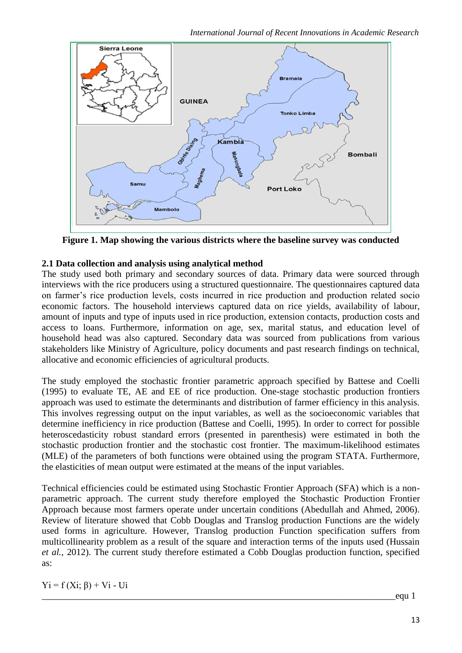*International Journal of Recent Innovations in Academic Research*



**Figure 1. Map showing the various districts where the baseline survey was conducted**

# **2.1 Data collection and analysis using analytical method**

The study used both primary and secondary sources of data. Primary data were sourced through interviews with the rice producers using a structured questionnaire. The questionnaires captured data on farmer's rice production levels, costs incurred in rice production and production related socio economic factors. The household interviews captured data on rice yields, availability of labour, amount of inputs and type of inputs used in rice production, extension contacts, production costs and access to loans. Furthermore, information on age, sex, marital status, and education level of household head was also captured. Secondary data was sourced from publications from various stakeholders like Ministry of Agriculture, policy documents and past research findings on technical, allocative and economic efficiencies of agricultural products.

The study employed the stochastic frontier parametric approach specified by Battese and Coelli (1995) to evaluate TE, AE and EE of rice production. One-stage stochastic production frontiers approach was used to estimate the determinants and distribution of farmer efficiency in this analysis. This involves regressing output on the input variables, as well as the socioeconomic variables that determine inefficiency in rice production (Battese and Coelli, 1995). In order to correct for possible heteroscedasticity robust standard errors (presented in parenthesis) were estimated in both the stochastic production frontier and the stochastic cost frontier. The maximum-likelihood estimates (MLE) of the parameters of both functions were obtained using the program STATA. Furthermore, the elasticities of mean output were estimated at the means of the input variables.

Technical efficiencies could be estimated using Stochastic Frontier Approach (SFA) which is a nonparametric approach. The current study therefore employed the Stochastic Production Frontier Approach because most farmers operate under uncertain conditions (Abedullah and Ahmed, 2006). Review of literature showed that Cobb Douglas and Translog production Functions are the widely used forms in agriculture. However, Translog production Function specification suffers from multicollinearity problem as a result of the square and interaction terms of the inputs used (Hussain *et al.,* 2012). The current study therefore estimated a Cobb Douglas production function, specified as:

 $Yi = f(Xi; \beta) + Vi - Ui$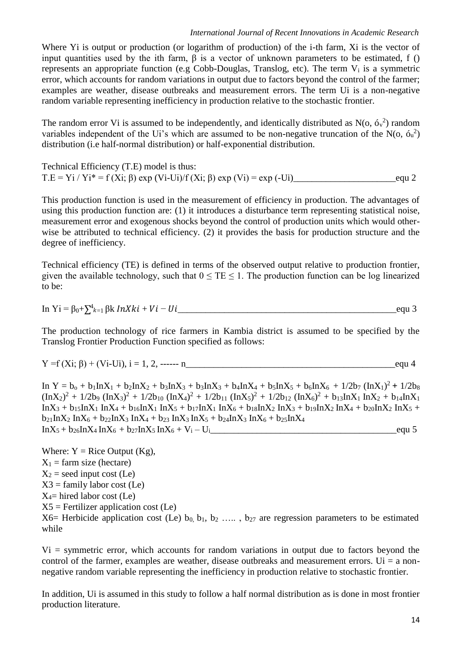Where Yi is output or production (or logarithm of production) of the i-th farm, Xi is the vector of input quantities used by the ith farm,  $\beta$  is a vector of unknown parameters to be estimated, f () represents an appropriate function (e.g Cobb-Douglas, Translog, etc). The term  $V_i$  is a symmetric error, which accounts for random variations in output due to factors beyond the control of the farmer; examples are weather, disease outbreaks and measurement errors. The term Ui is a non-negative random variable representing inefficiency in production relative to the stochastic frontier.

The random error Vi is assumed to be independently, and identically distributed as  $N(\sigma, \sigma^2)$  random variables independent of the Ui's which are assumed to be non-negative truncation of the N(o,  $6<sub>u</sub><sup>2</sup>$ ) distribution (i.e half-normal distribution) or half-exponential distribution.

Technical Efficiency (T.E) model is thus: T.E = Yi / Yi\* = f (Xi; β) exp (Vi-Ui)/f (Xi; β) exp (Vi) = exp (-Ui)\_\_\_\_\_\_\_\_\_\_\_\_\_\_\_\_\_\_\_\_\_\_equ 2

This production function is used in the measurement of efficiency in production. The advantages of using this production function are: (1) it introduces a disturbance term representing statistical noise, measurement error and exogenous shocks beyond the control of production units which would otherwise be attributed to technical efficiency. (2) it provides the basis for production structure and the degree of inefficiency.

Technical efficiency (TE) is defined in terms of the observed output relative to production frontier, given the available technology, such that  $0 \leq TE \leq 1$ . The production function can be log linearized to be:

In 
$$
Y_i = \beta_0 + \sum_{k=1}^{4} \beta_k lnXki + Vi - Ui
$$
 \_\_\_\_\_\_\_

The production technology of rice farmers in Kambia district is assumed to be specified by the Translog Frontier Production Function specified as follows:

$$
Y = f(Xi; \beta) + (Vi-Ui), i = 1, 2, \dots - n
$$
equ 4

 $\ln Y = b_0 + b_1 \ln X_1 + b_2 \ln X_2 + b_3 \ln X_3 + b_3 \ln X_3 + b_4 \ln X_4 + b_5 \ln X_5 + b_6 \ln X_6 + 1/2b_7 (\ln X_1)^2 + 1/2b_8$  $(\text{InX}_2)^2 + 1/2\text{b}_9 (\text{InX}_3)^2 + 1/2\text{b}_{10} (\text{InX}_4)^2 + 1/2\text{b}_{11} (\text{InX}_5)^2 + 1/2\text{b}_{12} (\text{InX}_6)^2 + \text{b}_1 \text{3} \text{InX}_1 \text{InX}_2 + \text{b}_1 \text{4} \text{InX}_1$  $InX_3 + b_{15}InX_1 InX_4 + b_{16}InX_1 InX_5 + b_{17}InX_1 InX_6 + b_{18}InX_2 InX_3 + b_{19}InX_2 InX_4 + b_{20}InX_2 InX_5 +$  $b_{21}$ InX<sub>2</sub> InX<sub>6</sub> +  $b_{22}$ InX<sub>3</sub> InX<sub>4</sub> +  $b_{23}$  InX<sub>3</sub> InX<sub>5</sub> +  $b_{24}$ InX<sub>3</sub> InX<sub>6</sub> +  $b_{25}$ InX<sub>4</sub>  $InX_5 + b_{26}InX_4 InX_6 + b_{27}InX_5 InX_6 + V_i - U_i$ 

Where:  $Y = \text{Rice Output (Kg)}$ ,  $X_1$  = farm size (hectare)  $X_2$  = seed input cost (Le)  $X3 =$  family labor cost (Le)  $X_4$ = hired labor cost (Le)  $X5$  = Fertilizer application cost (Le) X6= Herbicide application cost (Le)  $b_0$ ,  $b_1$ ,  $b_2$  …..,  $b_{27}$  are regression parameters to be estimated while

 $Vi =$  symmetric error, which accounts for random variations in output due to factors beyond the control of the farmer, examples are weather, disease outbreaks and measurement errors. U<sub>i</sub> = a nonnegative random variable representing the inefficiency in production relative to stochastic frontier.

In addition, Ui is assumed in this study to follow a half normal distribution as is done in most frontier production literature.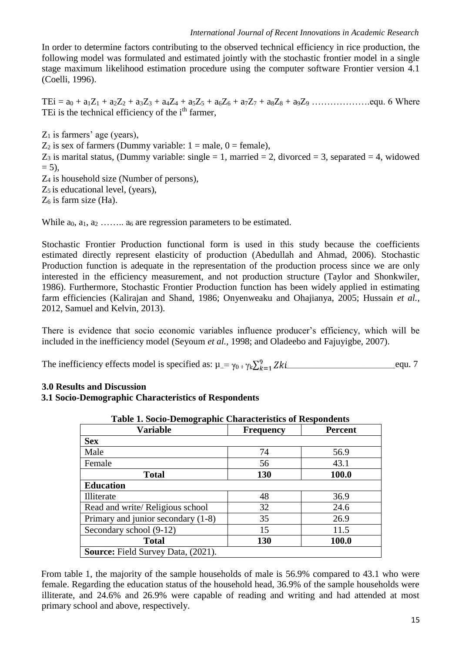In order to determine factors contributing to the observed technical efficiency in rice production, the following model was formulated and estimated jointly with the stochastic frontier model in a single stage maximum likelihood estimation procedure using the computer software Frontier version 4.1 (Coelli, 1996).

TEi = a<sup>0</sup> + a1Z<sup>1</sup> + a2Z<sup>2</sup> + a3Z<sup>3</sup> + a4Z<sup>4</sup> + a5Z<sup>5</sup> + a6Z<sup>6</sup> + a7Z<sup>7</sup> + a8Z<sup>8</sup> + a9Z<sup>9</sup> ……………….equ. 6 Where TEi is the technical efficiency of the i<sup>th</sup> farmer,

 $Z_1$  is farmers' age (years),  $Z_2$  is sex of farmers (Dummy variable:  $1 =$  male,  $0 =$  female),  $Z_3$  is marital status, (Dummy variable: single = 1, married = 2, divorced = 3, separated = 4, widowed  $= 5$ ). Z<sup>4</sup> is household size (Number of persons),  $Z_5$  is educational level, (years),  $Z_6$  is farm size (Ha).

While  $a_0, a_1, a_2, \ldots, a_6$  are regression parameters to be estimated.

Stochastic Frontier Production functional form is used in this study because the coefficients estimated directly represent elasticity of production (Abedullah and Ahmad, 2006). Stochastic Production function is adequate in the representation of the production process since we are only interested in the efficiency measurement, and not production structure (Taylor and Shonkwiler, 1986). Furthermore, Stochastic Frontier Production function has been widely applied in estimating farm efficiencies (Kalirajan and Shand, 1986; Onyenweaku and Ohajianya, 2005; Hussain *et al.,* 2012, Samuel and Kelvin, 2013).

There is evidence that socio economic variables influence producer's efficiency, which will be included in the inefficiency model (Seyoum *et al.,* 1998; and Oladeebo and Fajuyigbe, 2007).

The inefficiency effects model is specified as:  $\mu = \gamma_0 + \gamma_k \sum_{k=1}^{9} Zki$  equ. 7

# **3.0 Results and Discussion**

### **3.1 Socio-Demographic Characteristics of Respondents**

| Table 1. Socio-Demographic Characteristics of Respondents |                  |                |  |  |
|-----------------------------------------------------------|------------------|----------------|--|--|
| Variable                                                  | <b>Frequency</b> | <b>Percent</b> |  |  |
| <b>Sex</b>                                                |                  |                |  |  |
| Male                                                      | 74               | 56.9           |  |  |
| Female                                                    | 56               | 43.1           |  |  |
| <b>Total</b>                                              | 130              | 100.0          |  |  |
| <b>Education</b>                                          |                  |                |  |  |
| Illiterate                                                | 48               | 36.9           |  |  |
| Read and write/ Religious school                          | 32               | 24.6           |  |  |
| Primary and junior secondary (1-8)                        | 35               | 26.9           |  |  |
| Secondary school (9-12)                                   | 15               | 11.5           |  |  |
| <b>Total</b>                                              | 130              | 100.0          |  |  |
| <b>Source:</b> Field Survey Data, (2021).                 |                  |                |  |  |

| <b>Table 1. Socio-Demographic Characteristics of Respondents</b> |  |  |
|------------------------------------------------------------------|--|--|
|------------------------------------------------------------------|--|--|

From table 1, the majority of the sample households of male is 56.9% compared to 43.1 who were female. Regarding the education status of the household head, 36.9% of the sample households were illiterate, and 24.6% and 26.9% were capable of reading and writing and had attended at most primary school and above, respectively.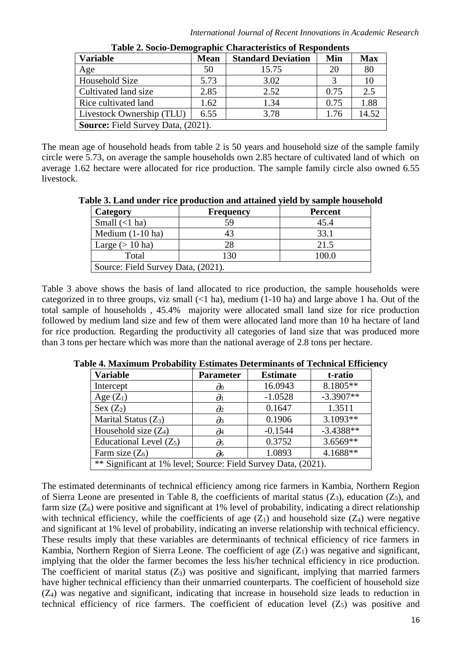| <b>Variable</b>                           | <b>Mean</b> | <b>Standard Deviation</b> | Min  | <b>Max</b> |
|-------------------------------------------|-------------|---------------------------|------|------------|
| Age                                       | 50          | 15.75                     | 20   | 80         |
| Household Size                            | 5.73        | 3.02                      |      |            |
| Cultivated land size                      | 2.85        | 2.52                      | 0.75 | 2.5        |
| Rice cultivated land                      | 1.62        | 1.34                      | 0.75 | 1.88       |
| Livestock Ownership (TLU)                 | 6.55        | 3.78                      | 1.76 | 14.52      |
| <b>Source:</b> Field Survey Data, (2021). |             |                           |      |            |

**Table 2. Socio-Demographic Characteristics of Respondents**

The mean age of household heads from table 2 is 50 years and household size of the sample family circle were 5.73, on average the sample households own 2.85 hectare of cultivated land of which on average 1.62 hectare were allocated for rice production. The sample family circle also owned 6.55 livestock.

**Table 3. Land under rice production and attained yield by sample household**

| Category                           | <b>Frequency</b> | <b>Percent</b> |  |  |
|------------------------------------|------------------|----------------|--|--|
| Small $(<1$ ha)                    | 59               | 45.4           |  |  |
| Medium $(1-10$ ha)                 |                  | 33.1           |  |  |
| Large $(>10 \text{ ha})$           | 28               | 21.5           |  |  |
| Total                              | 130              | 100.0          |  |  |
| Source: Field Survey Data, (2021). |                  |                |  |  |

Table 3 above shows the basis of land allocated to rice production, the sample households were categorized in to three groups, viz small  $(1 - 1)$  ha), medium  $(1 - 10)$  ha) and large above 1 ha. Out of the total sample of households , 45.4% majority were allocated small land size for rice production followed by medium land size and few of them were allocated land more than 10 ha hectare of land for rice production. Regarding the productivity all categories of land size that was produced more than 3 tons per hectare which was more than the national average of 2.8 tons per hectare.

| <b>Variable</b>                                                | <b>Parameter</b>        | <b>Estimate</b> | t-ratio     |
|----------------------------------------------------------------|-------------------------|-----------------|-------------|
| Intercept                                                      | $\partial_0$            | 16.0943         | 8.1805**    |
| Age $(Z_1)$                                                    | $\partial$ <sup>1</sup> | $-1.0528$       | $-3.3907**$ |
| Sex $(Z_2)$                                                    | $\partial_2$            | 0.1647          | 1.3511      |
| Marital Status $(Z_3)$                                         | $\partial_3$            | 0.1906          | $3.1093**$  |
| Household size $(Z_4)$                                         | д4                      | $-0.1544$       | $-3.4388**$ |
| Educational Level $(Z_5)$                                      | $\partial$ 5            | 0.3752          | $3.6569**$  |
| Farm size $(Z_6)$                                              | $\partial$ 6            | 1.0893          | $4.1688**$  |
| ** Significant at 1% level; Source: Field Survey Data, (2021). |                         |                 |             |

**Table 4. Maximum Probability Estimates Determinants of Technical Efficiency**

The estimated determinants of technical efficiency among rice farmers in Kambia, Northern Region of Sierra Leone are presented in Table 8, the coefficients of marital status  $(Z_3)$ , education  $(Z_5)$ , and farm size  $(Z_6)$  were positive and significant at 1% level of probability, indicating a direct relationship with technical efficiency, while the coefficients of age  $(Z_1)$  and household size  $(Z_4)$  were negative and significant at 1% level of probability, indicating an inverse relationship with technical efficiency. These results imply that these variables are determinants of technical efficiency of rice farmers in Kambia, Northern Region of Sierra Leone. The coefficient of age  $(Z_1)$  was negative and significant, implying that the older the farmer becomes the less his/her technical efficiency in rice production. The coefficient of marital status  $(Z_3)$  was positive and significant, implying that married farmers have higher technical efficiency than their unmarried counterparts. The coefficient of household size (Z4) was negative and significant, indicating that increase in household size leads to reduction in technical efficiency of rice farmers. The coefficient of education level  $(Z_5)$  was positive and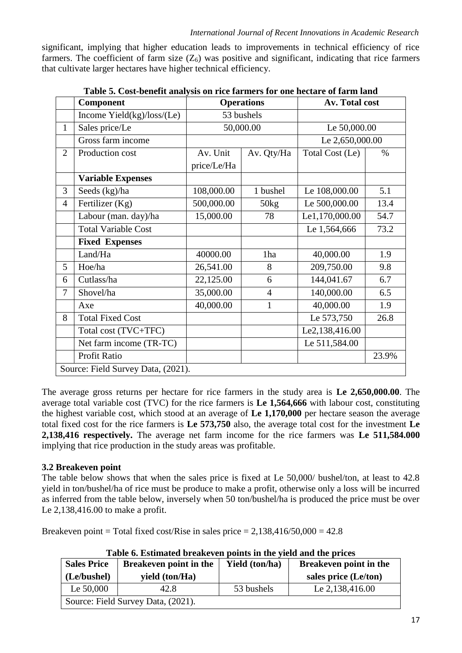significant, implying that higher education leads to improvements in technical efficiency of rice farmers. The coefficient of farm size  $(Z_6)$  was positive and significant, indicating that rice farmers that cultivate larger hectares have higher technical efficiency.

|                | Component                          | <b>Operations</b> |                | Av. Total cost  |       |
|----------------|------------------------------------|-------------------|----------------|-----------------|-------|
|                | Income $Yield(kg)/loss/(Le)$       | 53 bushels        |                |                 |       |
| 1              | Sales price/Le                     |                   | 50,000.00      | Le 50,000.00    |       |
|                | Gross farm income                  |                   |                | Le 2,650,000.00 |       |
| $\overline{2}$ | Production cost                    | Av. Unit          | Av. Qty/Ha     | Total Cost (Le) | $\%$  |
|                |                                    | price/Le/Ha       |                |                 |       |
|                | <b>Variable Expenses</b>           |                   |                |                 |       |
| 3              | Seeds (kg)/ha                      | 108,000.00        | 1 bushel       | Le 108,000.00   | 5.1   |
| $\overline{4}$ | Fertilizer (Kg)                    | 500,000.00        | 50kg           | Le 500,000.00   | 13.4  |
|                | Labour (man. day)/ha               | 15,000.00         | 78             | Le1,170,000.00  | 54.7  |
|                | <b>Total Variable Cost</b>         |                   |                | Le 1,564,666    | 73.2  |
|                | <b>Fixed Expenses</b>              |                   |                |                 |       |
|                | Land/Ha                            | 40000.00          | 1ha            | 40,000.00       | 1.9   |
| 5              | Hoe/ha                             | 26,541.00         | 8              | 209,750.00      | 9.8   |
| 6              | Cutlass/ha                         | 22,125.00         | 6              | 144,041.67      | 6.7   |
| 7              | Shovel/ha                          | 35,000.00         | $\overline{4}$ | 140,000.00      | 6.5   |
|                | Axe                                | 40,000.00         | $\mathbf{1}$   | 40,000.00       | 1.9   |
| 8              | <b>Total Fixed Cost</b>            |                   |                | Le 573,750      | 26.8  |
|                | Total cost (TVC+TFC)               |                   |                | Le2,138,416.00  |       |
|                | Net farm income (TR-TC)            |                   |                | Le 511,584.00   |       |
|                | Profit Ratio                       |                   |                |                 | 23.9% |
|                | Source: Field Survey Data, (2021). |                   |                |                 |       |

|  | Table 5. Cost-benefit analysis on rice farmers for one hectare of farm land |  |  |
|--|-----------------------------------------------------------------------------|--|--|

The average gross returns per hectare for rice farmers in the study area is **Le 2,650,000.00**. The average total variable cost (TVC) for the rice farmers is **Le 1,564,666** with labour cost, constituting the highest variable cost, which stood at an average of **Le 1,170,000** per hectare season the average total fixed cost for the rice farmers is **Le 573,750** also, the average total cost for the investment **Le 2,138,416 respectively.** The average net farm income for the rice farmers was **Le 511,584.000**  implying that rice production in the study areas was profitable.

# **3.2 Breakeven point**

The table below shows that when the sales price is fixed at Le 50,000/ bushel/ton, at least to 42.8 yield in ton/bushel/ha of rice must be produce to make a profit, otherwise only a loss will be incurred as inferred from the table below, inversely when 50 ton/bushel/ha is produced the price must be over Le 2,138,416.00 to make a profit.

Breakeven point = Total fixed cost/Rise in sales price =  $2,138,416/50,000 = 42.8$ 

| <b>Sales Price</b>                 | <b>Breakeven point in the</b> | <b>Yield</b> (ton/ha) | <b>Breakeven point in the</b> |  |
|------------------------------------|-------------------------------|-----------------------|-------------------------------|--|
| (Le/bushel)                        | yield (ton/Ha)                |                       | sales price (Le/ton)          |  |
| Le $50,000$                        | 42.8                          | 53 bushels            | Le 2,138,416.00               |  |
| Source: Field Survey Data, (2021). |                               |                       |                               |  |

**Table 6. Estimated breakeven points in the yield and the prices**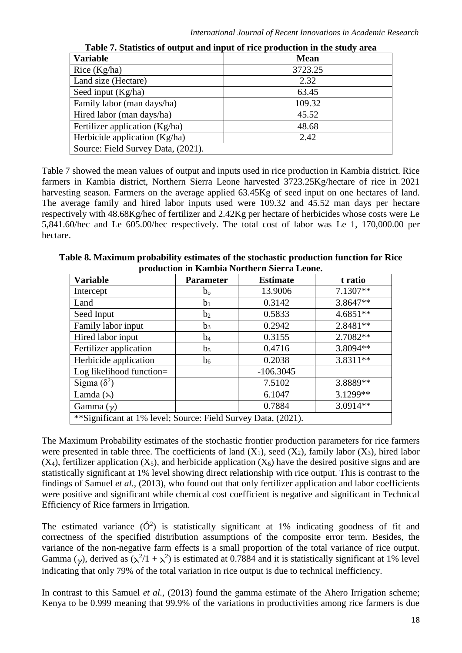| <b>Variable</b>                    | <b>Mean</b> |
|------------------------------------|-------------|
| Rice (Kg/ha)                       | 3723.25     |
| Land size (Hectare)                | 2.32        |
| Seed input (Kg/ha)                 | 63.45       |
| Family labor (man days/ha)         | 109.32      |
| Hired labor (man days/ha)          | 45.52       |
| Fertilizer application (Kg/ha)     | 48.68       |
| Herbicide application $(Kg/ha)$    | 2.42        |
| Source: Field Survey Data, (2021). |             |

**Table 7. Statistics of output and input of rice production in the study area**

Table 7 showed the mean values of output and inputs used in rice production in Kambia district. Rice farmers in Kambia district, Northern Sierra Leone harvested 3723.25Kg/hectare of rice in 2021 harvesting season. Farmers on the average applied 63.45Kg of seed input on one hectares of land. The average family and hired labor inputs used were 109.32 and 45.52 man days per hectare respectively with 48.68Kg/hec of fertilizer and 2.42Kg per hectare of herbicides whose costs were Le 5,841.60/hec and Le 605.00/hec respectively. The total cost of labor was Le 1, 170,000.00 per hectare.

| <b>Variable</b>                                               | <b>Parameter</b> | <b>Estimate</b> | t ratio    |  |
|---------------------------------------------------------------|------------------|-----------------|------------|--|
| Intercept                                                     | $b_{o}$          | 13.9006         | 7.1307**   |  |
| Land                                                          | b <sub>1</sub>   | 0.3142          | 3.8647**   |  |
| Seed Input                                                    | b <sub>2</sub>   | 0.5833          | $4.6851**$ |  |
| Family labor input                                            | $b_3$            | 0.2942          | 2.8481**   |  |
| Hired labor input                                             | $b_4$            | 0.3155          | 2.7082**   |  |
| Fertilizer application                                        | b <sub>5</sub>   | 0.4716          | 3.8094**   |  |
| Herbicide application                                         | b <sub>6</sub>   | 0.2038          | 3.8311**   |  |
| Log likelihood function=                                      |                  | $-106.3045$     |            |  |
| Sigma $(\delta^2)$                                            |                  | 7.5102          | 3.8889**   |  |
| Lamda $(\lambda)$                                             |                  | 6.1047          | 3.1299**   |  |
| Gamma $(\gamma)$                                              |                  | 0.7884          | $3.0914**$ |  |
| **Significant at 1% level; Source: Field Survey Data, (2021). |                  |                 |            |  |

**Table 8. Maximum probability estimates of the stochastic production function for Rice production in Kambia Northern Sierra Leone.**

The Maximum Probability estimates of the stochastic frontier production parameters for rice farmers were presented in table three. The coefficients of land  $(X_1)$ , seed  $(X_2)$ , family labor  $(X_3)$ , hired labor  $(X_4)$ , fertilizer application  $(X_5)$ , and herbicide application  $(X_6)$  have the desired positive signs and are statistically significant at 1% level showing direct relationship with rice output. This is contrast to the findings of Samuel *et al.,* (2013), who found out that only fertilizer application and labor coefficients were positive and significant while chemical cost coefficient is negative and significant in Technical Efficiency of Rice farmers in Irrigation.

The estimated variance  $(\acute{O}^2)$  is statistically significant at 1% indicating goodness of fit and correctness of the specified distribution assumptions of the composite error term. Besides, the variance of the non-negative farm effects is a small proportion of the total variance of rice output. Gamma ( $\gamma$ ), derived as ( $\lambda^2/1 + \lambda^2$ ) is estimated at 0.7884 and it is statistically significant at 1% level indicating that only 79% of the total variation in rice output is due to technical inefficiency.

In contrast to this Samuel *et al.*, (2013) found the gamma estimate of the Ahero Irrigation scheme; Kenya to be 0.999 meaning that 99.9% of the variations in productivities among rice farmers is due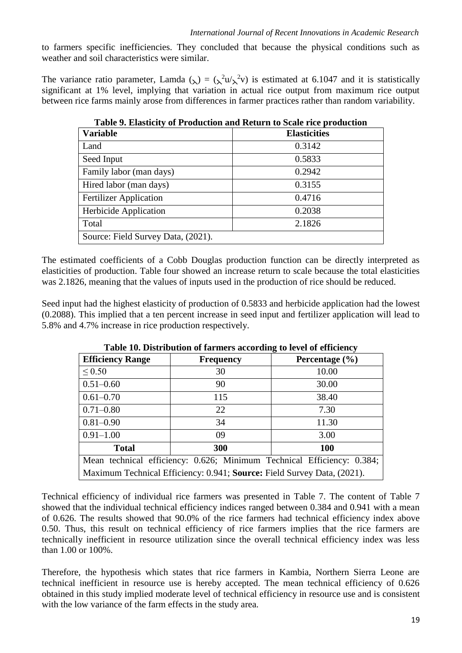to farmers specific inefficiencies. They concluded that because the physical conditions such as weather and soil characteristics were similar.

The variance ratio parameter, Lamda ( $\lambda$ ) = ( $\lambda^2 u/\lambda^2 v$ ) is estimated at 6.1047 and it is statistically significant at 1% level, implying that variation in actual rice output from maximum rice output between rice farms mainly arose from differences in farmer practices rather than random variability.

| <b>Variable</b>                    | <b>Elasticities</b> |
|------------------------------------|---------------------|
| Land                               | 0.3142              |
| Seed Input                         | 0.5833              |
| Family labor (man days)            | 0.2942              |
| Hired labor (man days)             | 0.3155              |
| <b>Fertilizer Application</b>      | 0.4716              |
| Herbicide Application              | 0.2038              |
| Total                              | 2.1826              |
| Source: Field Survey Data, (2021). |                     |

**Table 9. Elasticity of Production and Return to Scale rice production**

The estimated coefficients of a Cobb Douglas production function can be directly interpreted as elasticities of production. Table four showed an increase return to scale because the total elasticities was 2.1826, meaning that the values of inputs used in the production of rice should be reduced.

Seed input had the highest elasticity of production of 0.5833 and herbicide application had the lowest (0.2088). This implied that a ten percent increase in seed input and fertilizer application will lead to 5.8% and 4.7% increase in rice production respectively.

| <b>Efficiency Range</b>                                                 | <b>Frequency</b> | o<br>Percentage $(\% )$ |  |
|-------------------------------------------------------------------------|------------------|-------------------------|--|
| $\leq 0.50$                                                             | 30               | 10.00                   |  |
| $0.51 - 0.60$                                                           | 90               | 30.00                   |  |
| $0.61 - 0.70$                                                           | 115              | 38.40                   |  |
| $0.71 - 0.80$                                                           | 22               | 7.30                    |  |
| $0.81 - 0.90$                                                           | 34               | 11.30                   |  |
| $0.91 - 1.00$                                                           | 09               | 3.00                    |  |
| <b>Total</b>                                                            | 300              | 100                     |  |
| Mean technical efficiency: 0.626; Minimum Technical Efficiency: 0.384;  |                  |                         |  |
| Maximum Technical Efficiency: 0.941; Source: Field Survey Data, (2021). |                  |                         |  |

**Table 10. Distribution of farmers according to level of efficiency**

Technical efficiency of individual rice farmers was presented in Table 7. The content of Table 7 showed that the individual technical efficiency indices ranged between 0.384 and 0.941 with a mean of 0.626. The results showed that 90.0% of the rice farmers had technical efficiency index above 0.50. Thus, this result on technical efficiency of rice farmers implies that the rice farmers are technically inefficient in resource utilization since the overall technical efficiency index was less than 1.00 or 100%.

Therefore, the hypothesis which states that rice farmers in Kambia, Northern Sierra Leone are technical inefficient in resource use is hereby accepted. The mean technical efficiency of 0.626 obtained in this study implied moderate level of technical efficiency in resource use and is consistent with the low variance of the farm effects in the study area.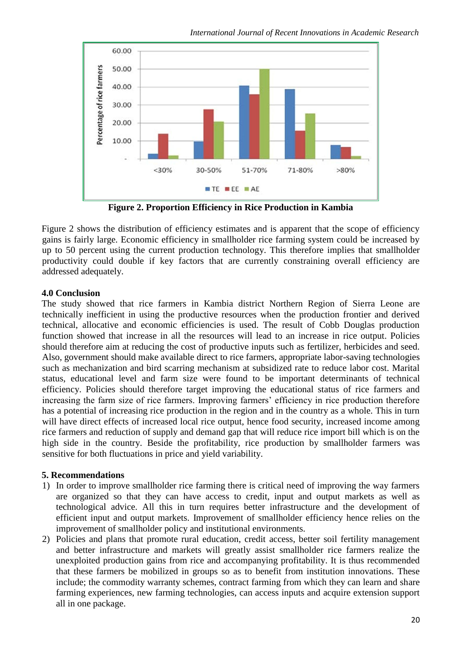

**Figure 2. Proportion Efficiency in Rice Production in Kambia**

Figure 2 shows the distribution of efficiency estimates and is apparent that the scope of efficiency gains is fairly large. Economic efficiency in smallholder rice farming system could be increased by up to 50 percent using the current production technology. This therefore implies that smallholder productivity could double if key factors that are currently constraining overall efficiency are addressed adequately.

# **4.0 Conclusion**

The study showed that rice farmers in Kambia district Northern Region of Sierra Leone are technically inefficient in using the productive resources when the production frontier and derived technical, allocative and economic efficiencies is used. The result of Cobb Douglas production function showed that increase in all the resources will lead to an increase in rice output. Policies should therefore aim at reducing the cost of productive inputs such as fertilizer, herbicides and seed. Also, government should make available direct to rice farmers, appropriate labor-saving technologies such as mechanization and bird scarring mechanism at subsidized rate to reduce labor cost. Marital status, educational level and farm size were found to be important determinants of technical efficiency. Policies should therefore target improving the educational status of rice farmers and increasing the farm size of rice farmers. Improving farmers' efficiency in rice production therefore has a potential of increasing rice production in the region and in the country as a whole. This in turn will have direct effects of increased local rice output, hence food security, increased income among rice farmers and reduction of supply and demand gap that will reduce rice import bill which is on the high side in the country. Beside the profitability, rice production by smallholder farmers was sensitive for both fluctuations in price and yield variability.

# **5. Recommendations**

- 1) In order to improve smallholder rice farming there is critical need of improving the way farmers are organized so that they can have access to credit, input and output markets as well as technological advice. All this in turn requires better infrastructure and the development of efficient input and output markets. Improvement of smallholder efficiency hence relies on the improvement of smallholder policy and institutional environments.
- 2) Policies and plans that promote rural education, credit access, better soil fertility management and better infrastructure and markets will greatly assist smallholder rice farmers realize the unexploited production gains from rice and accompanying profitability. It is thus recommended that these farmers be mobilized in groups so as to benefit from institution innovations. These include; the commodity warranty schemes, contract farming from which they can learn and share farming experiences, new farming technologies, can access inputs and acquire extension support all in one package.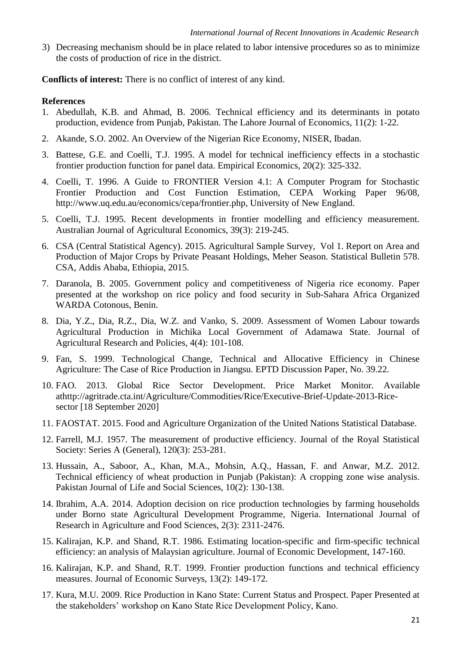3) Decreasing mechanism should be in place related to labor intensive procedures so as to minimize the costs of production of rice in the district.

**Conflicts of interest:** There is no conflict of interest of any kind.

### **References**

- 1. Abedullah, K.B. and Ahmad, B. 2006. Technical efficiency and its determinants in potato production, evidence from Punjab, Pakistan. The Lahore Journal of Economics, 11(2): 1-22.
- 2. Akande, S.O. 2002. An Overview of the Nigerian Rice Economy, NISER, Ibadan.
- 3. Battese, G.E. and Coelli, T.J. 1995. A model for technical inefficiency effects in a stochastic frontier production function for panel data. Empirical Economics, 20(2): 325-332.
- 4. Coelli, T. 1996. A Guide to FRONTIER Version 4.1: A Computer Program for Stochastic Frontier Production and Cost Function Estimation, CEPA Working Paper 96/08, http://www.uq.edu.au/economics/cepa/frontier.php, University of New England.
- 5. Coelli, T.J. 1995. Recent developments in frontier modelling and efficiency measurement. Australian Journal of Agricultural Economics, 39(3): 219-245.
- 6. CSA (Central Statistical Agency). 2015. Agricultural Sample Survey, Vol 1. Report on Area and Production of Major Crops by Private Peasant Holdings, Meher Season. Statistical Bulletin 578. CSA, Addis Ababa, Ethiopia, 2015.
- 7. Daranola, B. 2005. Government policy and competitiveness of Nigeria rice economy. Paper presented at the workshop on rice policy and food security in Sub-Sahara Africa Organized WARDA Cotonous, Benin.
- 8. Dia, Y.Z., Dia, R.Z., Dia, W.Z. and Vanko, S. 2009. Assessment of Women Labour towards Agricultural Production in Michika Local Government of Adamawa State. Journal of Agricultural Research and Policies, 4(4): 101-108.
- 9. Fan, S. 1999. Technological Change, Technical and Allocative Efficiency in Chinese Agriculture: The Case of Rice Production in Jiangsu. EPTD Discussion Paper, No. 39.22.
- 10. FAO. 2013. Global Rice Sector Development. Price Market Monitor. Available athttp://agritrade.cta.int/Agriculture/Commodities/Rice/Executive-Brief-Update-2013-Ricesector [18 September 2020]
- 11. FAOSTAT. 2015. Food and Agriculture Organization of the United Nations Statistical Database.
- 12. Farrell, M.J. 1957. The measurement of productive efficiency. Journal of the Royal Statistical Society: Series A (General), 120(3): 253-281.
- 13. Hussain, A., Saboor, A., Khan, M.A., Mohsin, A.Q., Hassan, F. and Anwar, M.Z. 2012. Technical efficiency of wheat production in Punjab (Pakistan): A cropping zone wise analysis. Pakistan Journal of Life and Social Sciences, 10(2): 130-138.
- 14. Ibrahim, A.A. 2014. Adoption decision on rice production technologies by farming households under Borno state Agricultural Development Programme, Nigeria. International Journal of Research in Agriculture and Food Sciences, 2(3): 2311-2476.
- 15. Kalirajan, K.P. and Shand, R.T. 1986. Estimating location-specific and firm-specific technical efficiency: an analysis of Malaysian agriculture. Journal of Economic Development, 147-160.
- 16. Kalirajan, K.P. and Shand, R.T. 1999. Frontier production functions and technical efficiency measures. Journal of Economic Surveys, 13(2): 149-172.
- 17. Kura, M.U. 2009. Rice Production in Kano State: Current Status and Prospect. Paper Presented at the stakeholders' workshop on Kano State Rice Development Policy, Kano.